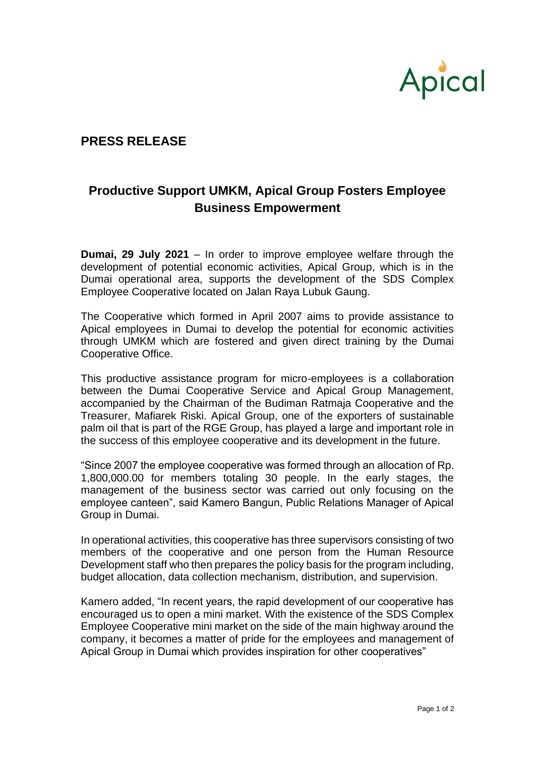

## **PRESS RELEASE**

## **Productive Support UMKM, Apical Group Fosters Employee Business Empowerment**

**Dumai, 29 July 2021** – In order to improve employee welfare through the development of potential economic activities, Apical Group, which is in the Dumai operational area, supports the development of the SDS Complex Employee Cooperative located on Jalan Raya Lubuk Gaung.

The Cooperative which formed in April 2007 aims to provide assistance to Apical employees in Dumai to develop the potential for economic activities through UMKM which are fostered and given direct training by the Dumai Cooperative Office.

This productive assistance program for micro-employees is a collaboration between the Dumai Cooperative Service and Apical Group Management, accompanied by the Chairman of the Budiman Ratmaja Cooperative and the Treasurer, Mafiarek Riski. Apical Group, one of the exporters of sustainable palm oil that is part of the RGE Group, has played a large and important role in the success of this employee cooperative and its development in the future.

"Since 2007 the employee cooperative was formed through an allocation of Rp. 1,800,000.00 for members totaling 30 people. In the early stages, the management of the business sector was carried out only focusing on the employee canteen", said Kamero Bangun, Public Relations Manager of Apical Group in Dumai.

In operational activities, this cooperative has three supervisors consisting of two members of the cooperative and one person from the Human Resource Development staff who then prepares the policy basis for the program including, budget allocation, data collection mechanism, distribution, and supervision.

Kamero added, "In recent years, the rapid development of our cooperative has encouraged us to open a mini market. With the existence of the SDS Complex Employee Cooperative mini market on the side of the main highway around the company, it becomes a matter of pride for the employees and management of Apical Group in Dumai which provides inspiration for other cooperatives"